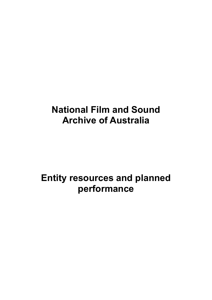# **National Film and Sound Archive of Australia**

# **Entity resources and planned performance**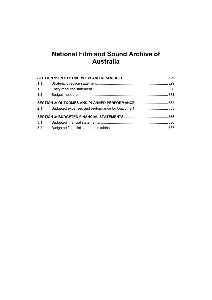## **National Film and Sound Archive of Australia**

| 1.1 |                                                    |  |
|-----|----------------------------------------------------|--|
| 1.2 |                                                    |  |
| 1.3 |                                                    |  |
|     | SECTION 2: OUTCOMES AND PLANNED PERFORMANCE 332    |  |
| 2.1 | Budgeted expenses and performance for Outcome 1333 |  |
|     |                                                    |  |
| 3.1 |                                                    |  |
| 3.2 |                                                    |  |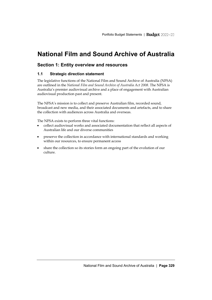## **National Film and Sound Archive of Australia**

## <span id="page-4-0"></span>**Section 1: Entity overview and resources**

## <span id="page-4-1"></span>**1.1 Strategic direction statement**

The legislative functions of the National Film and Sound Archive of Australia (NFSA) are outlined in the *National Film and Sound Archive of Australia Act 2008*. The NFSA is Australia's premier audiovisual archive and a place of engagement with Australian audiovisual production past and present.

The NFSA's mission is to collect and preserve Australian film, recorded sound, broadcast and new media, and their associated documents and artefacts, and to share the collection with audiences across Australia and overseas.

The NFSA exists to perform three vital functions:

- collect audiovisual works and associated documentation that reflect all aspects of Australian life and our diverse communities
- preserve the collection in accordance with international standards and working within our resources, to ensure permanent access
- share the collection so its stories form an ongoing part of the evolution of our culture.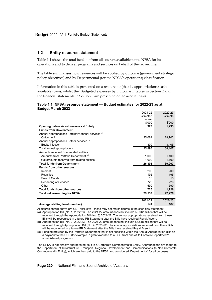## <span id="page-5-0"></span>**1.2 Entity resource statement**

Table 1.1 shows the total funding from all sources available to the NFSA for its operations and to deliver programs and services on behalf of the Government.

The table summarises how resources will be applied by outcome (government strategic policy objectives) and by Departmental (for the NFSA's operations) classification.

Information in this table is presented on a resourcing (that is, appropriations/cash available) basis, whilst the 'Budgeted expenses by Outcome 1' tables in Section 2 and the financial statements in Section 3 are presented on an accrual basis.

#### **Table 1.1: NFSA resource statement — Budget estimates for 2022-23 as at Budget March 2022**

|                                                      | 2021-22   | 2022-23  |
|------------------------------------------------------|-----------|----------|
|                                                      | Estimated | Estimate |
|                                                      | actual    |          |
|                                                      | \$'000    | \$'000   |
| Opening balance/cash reserves at 1 July              | 920       | 1,293    |
| <b>Funds from Government</b>                         |           |          |
| Annual appropriations - ordinary annual services (a) |           |          |
| Outcome 1                                            | 25,084    | 29,702   |
| Annual appropriations - other services (b)           |           |          |
| Equity injection                                     | 809       | 8,405    |
| Total annual appropriations                          | 25,893    | 38,107   |
| Amounts received from related entities               |           |          |
| Amounts from Portfolio Department (c)                | 1,000     | 1,100    |
| Total amounts received from related entities         | 1.000     | 1,100    |
| <b>Total funds from Government</b>                   | 26,893    | 39,207   |
| <b>Funds from other sources</b>                      |           |          |
| Interest                                             | 200       | 200      |
| <b>Rovalties</b>                                     | 195       | 195      |
| Sale of Goods                                        | 15        | 15       |
| Rendering of Services                                | 726       | 726      |
| Other                                                | 590       | 590      |
| Total funds from other sources                       | 1,726     | 1,726    |
| <b>Total net resourcing for NFSA</b>                 | 29.539    | 42,226   |
|                                                      |           |          |
|                                                      | 2021-22   | 2022-23  |
| Average staffing level (number)                      | 174       | 182      |

All figures shown above are GST exclusive - these may not match figures in the cash flow statement.

(a) Appropriation Bill (No. 1) 2022-23. The 2021-22 amount does not include \$2.942 million that will be received through the Appropriation Bill (No. 3) 2021-22. The annual appropriations received from these Bills will be recognised in a future PB Statement after the Bills have received Royal Assent.

(c) Funding provided by the Portfolio Department that is not specified within the Annual Appropriation Bills as a payment to the CCE (for example, a grant awarded to a CCE from one of its Portfolio Department's administered programs).

The NFSA is not directly appropriated as it is a Corporate Commonwealth Entity. Appropriations are made to the Department of Infrastructure, Transport, Regional Development and Communications (a Non-Corporate Commonwealth Entity), which are then paid to the NFSA and considered 'Departmental' for all purposes.

<sup>(</sup>b) Appropriation Bill (No. 2) 2022-23. The 2021-22 amount does not include \$3.518 million that will be received through Appropriation Bill (No. 4) 2021-22. The annual appropriations received from these Bills will be recognised in a future PB Statement after the Bills have received Royal Assent.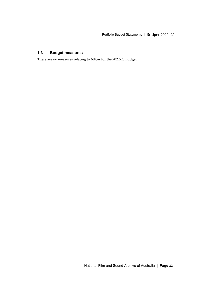## <span id="page-6-0"></span>**1.3 Budget measures**

There are no measures relating to NFSA for the 2022-23 Budget.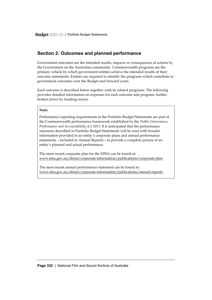## <span id="page-7-0"></span>**Section 2: Outcomes and planned performance**

Government outcomes are the intended results, impacts or consequences of actions by the Government on the Australian community. Commonwealth programs are the primary vehicle by which government entities achieve the intended results of their outcome statements. Entities are required to identify the programs which contribute to government outcomes over the Budget and forward years.

Each outcome is described below together with its related programs. The following provides detailed information on expenses for each outcome and program, further broken down by funding source.

#### **Note:**

Performance reporting requirements in the Portfolio Budget Statements are part of the Commonwealth performance framework established by the *Public Governance, Performance and Accountability Act 2013*. It is anticipated that the performance measures described in Portfolio Budget Statements will be read with broader information provided in an entity's corporate plans and annual performance statements – included in Annual Reports – to provide a complete picture of an entity's planned and actual performance.

The most recent corporate plan for the NFSA can be found at: www.nfsa.gov.au/about/corporate-information/publications/corporate-plan

The most recent annual performance statement can be found at: www.nfsa.gov.au/about/corporate-information/publications/annual-reports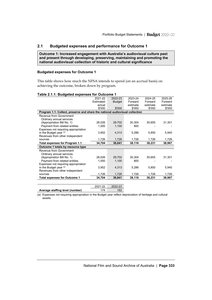## <span id="page-8-0"></span>**2.1 Budgeted expenses and performance for Outcome 1**

**Outcome 1: Increased engagement with Australia's audiovisual culture past and present through developing, preserving, maintaining and promoting the national audiovisual collection of historic and cultural significance**

#### **Budgeted expenses for Outcome 1**

This table shows how much the NFSA intends to spend (on an accrual basis) on achieving the outcome, broken down by program.

| Table 2.1.1. Budgeted expenses for Outcome T                                 |           |               |          |          |          |
|------------------------------------------------------------------------------|-----------|---------------|----------|----------|----------|
|                                                                              | 2021-22   | 2022-23       | 2023-24  | 2024-25  | 2025-26  |
|                                                                              | Estimated | <b>Budget</b> | Forward  | Forward  | Forward  |
|                                                                              | actual    |               | estimate | estimate | estimate |
|                                                                              | \$'000    | \$'000        | \$'000   | \$'000   | \$'000   |
| Program 1.1: Collect, preserve and share the national audiovisual collection |           |               |          |          |          |
| Revenue from Government                                                      |           |               |          |          |          |
| Ordinary annual services                                                     |           |               |          |          |          |
| (Appropriation Bill No. 1)                                                   | 28,026    | 29,702        | 30,304   | 30,655   | 31,301   |
| Payment from related entities                                                | 1,000     | 1,100         | 800      |          |          |
| Expenses not requiring appropriation                                         |           |               |          |          |          |
| in the Budget year $(a)$                                                     | 3,952     | 4,313         | 5,286    | 5,850    | 5,940    |
| Revenues from other independent                                              |           |               |          |          |          |
| sources                                                                      | 1,726     | 1,726         | 1,726    | 1,726    | 1,726    |
| Total expenses for Program 1.1                                               | 34,704    | 36,841        | 38,116   | 38,231   | 38,967   |
| Outcome 1 totals by resource type                                            |           |               |          |          |          |
| Revenue from Government                                                      |           |               |          |          |          |
| Ordinary annual services                                                     |           |               |          |          |          |
| (Appropriation Bill No. 1)                                                   | 28,026    | 29.702        | 30,304   | 30,655   | 31,301   |
| Payment from related entities                                                | 1,000     | 1,100         | 800      |          |          |
| Expenses not requiring appropriation                                         |           |               |          |          |          |
| in the Budget year $(a)$                                                     | 3,952     | 4,313         | 5,286    | 5,850    | 5,940    |
| Revenues from other independent                                              |           |               |          |          |          |
| sources                                                                      | 1,726     | 1,726         | 1,726    | 1,726    | 1,726    |
| <b>Total expenses for Outcome 1</b>                                          | 34,704    | 36,841        | 38,116   | 38,231   | 38,967   |
|                                                                              |           |               |          |          |          |
|                                                                              | 2021-22   | 2022-23       |          |          |          |

## **Table 2.1.1: Budgeted expenses for Outcome 1**

**Average staffing level (number)** 174 182

(a) Expenses not requiring appropriation in the Budget year reflect depreciation of heritage and cultural assets.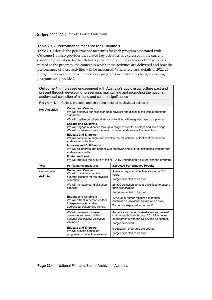### **Table 2.1.2: Performance measure for Outcome 1**

Table 2.1.2 details the performance measures for each program associated with Outcome 1. It also provides the related key activities as expressed in the current corporate plan where further detail is provided about the delivery of the activities related to the program, the context in which these activities are delivered and how the performance of these activities will be measured. Where relevant, details of 2022-23 Budget measures that have created new programs or materially changed existing programs are provided.

| <b>Outcome 1</b> – Increased engagement with Australia's audiovisual culture past and<br>present through developing, preserving, maintaining and promoting the national<br>audiovisual collection of historic and cultural significance |                                                                                                                                                |                                                                                                                                                               |  |  |  |
|-----------------------------------------------------------------------------------------------------------------------------------------------------------------------------------------------------------------------------------------|------------------------------------------------------------------------------------------------------------------------------------------------|---------------------------------------------------------------------------------------------------------------------------------------------------------------|--|--|--|
|                                                                                                                                                                                                                                         | Program 1.1 - Collect, preserve and share the national audiovisual collection                                                                  |                                                                                                                                                               |  |  |  |
| <b>Key Activities</b>                                                                                                                                                                                                                   | <b>Collect and Connect</b><br>standards.                                                                                                       | We will preserve our collection both physical and digital in line with international                                                                          |  |  |  |
|                                                                                                                                                                                                                                         |                                                                                                                                                | We will digitise our physical at-risk collection, with magnetic tape as a priority.                                                                           |  |  |  |
|                                                                                                                                                                                                                                         | <b>Engage and Celebrate</b>                                                                                                                    | We will engage audiences through a range of events, displays and screenings.<br>We will increase our national reach in order to showcase the collection.      |  |  |  |
|                                                                                                                                                                                                                                         | <b>Educate and Empower</b><br>audiovisual collection.                                                                                          | We will continue to share and develop the educational potential of the national                                                                               |  |  |  |
|                                                                                                                                                                                                                                         | <b>Innovate and Collaborate</b><br>We will collaborate and partner with creatives and cultural institutions working with<br>audiovisual media. |                                                                                                                                                               |  |  |  |
|                                                                                                                                                                                                                                         | <b>Foster and Lead</b><br>We will improve the culture at the NFSA by undertaking a cultural change program.                                    |                                                                                                                                                               |  |  |  |
|                                                                                                                                                                                                                                         |                                                                                                                                                |                                                                                                                                                               |  |  |  |
| Year                                                                                                                                                                                                                                    | <b>Performance measures</b>                                                                                                                    | <b>Expected Performance Results</b>                                                                                                                           |  |  |  |
| Current year<br>2021-22                                                                                                                                                                                                                 | <b>Collect and Connect</b><br>We will maintain a healthy                                                                                       | Average physical collection lifespan of 230<br>years.                                                                                                         |  |  |  |
|                                                                                                                                                                                                                                         | average lifespan for the physical<br>collection.                                                                                               | Target expected to be met                                                                                                                                     |  |  |  |
|                                                                                                                                                                                                                                         | We will increase our digitisation<br>capacity.                                                                                                 | 26,500 collection items are digitised to ensure<br>their preservation.<br>Target expected to be met                                                           |  |  |  |
|                                                                                                                                                                                                                                         | <b>Engage and Celebrate</b><br>We will attract in person visitors<br>to experience Australian<br>audiovisual culture and history.              | 107,500 in-person visitors experience<br>Australian audiovisual culture and history.<br>Target not expected to be met (a)                                     |  |  |  |
|                                                                                                                                                                                                                                         | We will generate increased<br>coverage and reach of the<br>national audiovisual collection<br>via media.                                       | Audiences experience Australian audiovisual<br>culture and history through 20 million online<br>engagements with the NFSA and its content.<br>Target exceeded |  |  |  |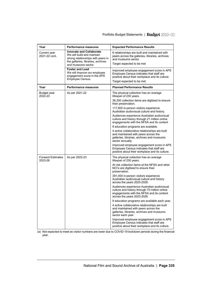## Portfolio Budget Statements | Budget 2022-23

| Year                                | <b>Performance measures</b>                                                                                                               | <b>Expected Performance Results</b>                                                                                                                                     |
|-------------------------------------|-------------------------------------------------------------------------------------------------------------------------------------------|-------------------------------------------------------------------------------------------------------------------------------------------------------------------------|
| Current year<br>2021-22 cont.       | <b>Innovate and Collaborate</b><br>We will build and maintain<br>strong relationships with peers in<br>the galleries, libraries, archives | 6 relationships are built and maintained with<br>peers across the galleries, libraries, archives<br>and museums sector.                                                 |
|                                     | and museums sector.                                                                                                                       | Target expected to be met                                                                                                                                               |
|                                     | <b>Foster and Lead</b><br>We will improve our employee<br>engagement score in the APS<br>Employee Census.                                 | Improved employee engagement score in APS<br>Employee Census indicates that staff are<br>positive about their workplace and its culture.                                |
|                                     |                                                                                                                                           | Target expected to be met                                                                                                                                               |
| Year                                | <b>Performance measures</b>                                                                                                               | <b>Planned Performance Results</b>                                                                                                                                      |
| <b>Budget year</b><br>2022-23       | As per 2021-22                                                                                                                            | The physical collection has an average<br>lifespan of 230 years.                                                                                                        |
|                                     |                                                                                                                                           | 36,300 collection items are digitised to ensure<br>their preservation.                                                                                                  |
|                                     |                                                                                                                                           | 117,600 in-person visitors experience<br>Australian audiovisual culture and history.                                                                                    |
|                                     |                                                                                                                                           | Audiences experience Australian audiovisual<br>culture and history through 21 million online<br>engagements with the NFSA and its content                               |
|                                     |                                                                                                                                           | 9 education programs are available.                                                                                                                                     |
|                                     |                                                                                                                                           | 4 active collaborative relationships are built<br>and maintained with peers across the<br>galleries, libraries, archives and museums<br>sector annually.                |
|                                     |                                                                                                                                           | Improved employee engagement score in APS<br>Employee Census indicates that staff are<br>positive about their workplace and its culture.                                |
| <b>Forward Estimates</b><br>2023-26 | As per 2022-23                                                                                                                            | The physical collection has an average<br>lifespan of 230 years.                                                                                                        |
|                                     |                                                                                                                                           | At risk collection items at the NFSA and other<br>NCI's are digitised to ensure their<br>preservation.                                                                  |
|                                     |                                                                                                                                           | 391,000 in-person visitors experience<br>Australian audiovisual culture and history<br>across the years 2023-2026.                                                      |
|                                     |                                                                                                                                           | Audiences experience Australian audiovisual<br>culture and history through 70 million online<br>engagements with the NFSA and its content<br>across the years 2023-2026 |
|                                     |                                                                                                                                           | 9 education programs are available each year.                                                                                                                           |
|                                     |                                                                                                                                           | 4 active collaborative relationships are built<br>and maintained with peers across the<br>galleries, libraries, archives and museums<br>sector each year.               |
|                                     |                                                                                                                                           | Improved employee engagement score in APS<br>Employee Census indicates that staff are<br>positive about their workplace and its culture.                                |

(a) Not expected to meet as visitor numbers are lower due to COVID-19 lockdown periods during the financial year.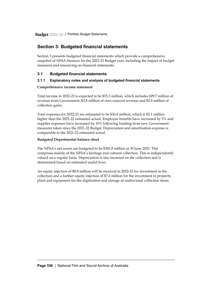## <span id="page-11-0"></span>**Section 3: Budgeted financial statements**

Section 3 presents budgeted financial statements which provide a comprehensive snapshot of NFSA finances for the 2022-23 Budget year, including the impact of budget measures and resourcing on financial statements.

## <span id="page-11-1"></span>**3.1 Budgeted financial statements**

## **3.1.1 Explanatory notes and analysis of budgeted financial statements**

#### **Comprehensive income statement**

Total income in 2022-23 is expected to be \$35.3 million, which includes \$29.7 million of revenue from Government, \$2.8 million of own sourced revenue and \$2.8 million of collection gains.

Total expenses for 2022-23 are estimated to be \$36.8 million, which is \$2.1 million higher than the 2021-22 estimated actual. Employee benefits have increased by 5% and supplier expenses have increased by 10% following funding from new Government measures taken since the 2021-22 Budget. Depreciation and amortisation expense is comparable to the 2021-22 estimated actual.

## **Budgeted Departmental balance sheet**

The NFSA's net assets are budgeted to be \$382.8 million at 30 June 2023. This comprises mainly of the NFSA's heritage and cultural collection. This is independently valued on a regular basis. Depreciation is also incurred on the collection and is determined based on estimated useful lives.

An equity injection of \$0.8 million will be received in 2022-23 for investment in the collection and a further equity injection of \$7.6 million for the investment in property, plant and equipment for the digitisation and storage of audiovisual collection items.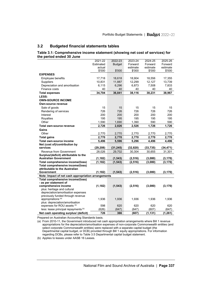## <span id="page-12-0"></span>**3.2 Budgeted financial statements tables**

#### **Table 3.1: Comprehensive income statement (showing net cost of services) for the period ended 30 June**

| 2021-22<br>2022-23<br>2023-24<br>2024-25<br>2025-26<br>Estimated<br>Forward<br>Forward<br>Forward<br><b>Budget</b><br>actual<br>estimate<br>estimate<br>estimate<br>\$'000<br>\$'000<br>\$'000<br>\$'000<br>\$'000<br><b>EXPENSES</b><br><b>Employee benefits</b><br>17,718<br>18,618<br>18,904<br>18,556<br>17,355<br>Suppliers<br>10,831<br>11,887<br>12,299<br>12,127<br>13,739<br>Depreciation and amortisation<br>6,115<br>6,296<br>6,873<br>7,508<br>7,833<br>40<br>40<br>40<br>Finance costs<br>40<br>40<br>38,231<br>34,704<br>36,841<br>38,116<br>38,967<br><b>Total expenses</b><br>LESS:<br><b>OWN-SOURCE INCOME</b><br><b>Own-source revenue</b><br>Sale of goods<br>15<br>15<br>15<br>15<br>15<br>726<br>726<br>726<br>726<br>726<br>Rendering of services<br>Interest<br>200<br>200<br>200<br>200<br>200<br>195<br>Royalties<br>195<br>195<br>195<br>195<br>Other<br>1,590<br>1,690<br>1,390<br>590<br>590<br>Total own-source revenue<br>2,726<br>2,826<br>2,526<br>1,726<br>1,726<br>Gains<br>Other<br>2,770<br>2,770<br>2,770<br>2,770<br>2,770<br>2,770<br><b>Total gains</b><br>2,770<br>2,770<br>2,770<br>2,770<br>Total own-source income<br>5,496<br>5,596<br>5,296<br>4,496<br>4,496<br>Net (cost of)/contribution by<br>services<br>(29, 208)<br>(31, 245)<br>(32, 820)<br>(33, 735)<br>(34, 471)<br><b>Revenue from Government</b><br>28,026<br>29,702<br>30,304<br>30,655<br>31,301<br>Surplus/(deficit) attributable to the<br><b>Australian Government</b><br>(1, 182)<br>(1, 543)<br>(3,080)<br>(3, 170)<br>(2,516)<br>(1, 182)<br>(1, 543)<br>Total comprehensive income/(loss)<br>(2, 516)<br>(3,080)<br>(3, 170)<br>Total comprehensive income/(loss)<br>attributable to the Australian<br>(1, 182)<br>Government<br>(1, 543)<br>(2, 516)<br>(3,080)<br>(3, 170)<br>Note: Impact of net cash appropriation arrangements<br>Total comprehensive income/(loss)<br>- as per statement of<br>comprehensive income<br>(1, 182)<br>(1, 543)<br>(2, 516)<br>(3,080)<br>(3, 170)<br>plus: heritage and cultural<br>depreciation/amortisation expenses<br>previously funded through revenue<br>appropriations <sup>(a)</sup><br>1,936<br>1,936<br>1,936<br>1,936<br>1,936<br>plus: depreciation/amortisation<br>expenses for ROU assets (b)<br>620<br>620<br>620<br>620<br>598 |                                                 |       |       |       |       |       |
|-------------------------------------------------------------------------------------------------------------------------------------------------------------------------------------------------------------------------------------------------------------------------------------------------------------------------------------------------------------------------------------------------------------------------------------------------------------------------------------------------------------------------------------------------------------------------------------------------------------------------------------------------------------------------------------------------------------------------------------------------------------------------------------------------------------------------------------------------------------------------------------------------------------------------------------------------------------------------------------------------------------------------------------------------------------------------------------------------------------------------------------------------------------------------------------------------------------------------------------------------------------------------------------------------------------------------------------------------------------------------------------------------------------------------------------------------------------------------------------------------------------------------------------------------------------------------------------------------------------------------------------------------------------------------------------------------------------------------------------------------------------------------------------------------------------------------------------------------------------------------------------------------------------------------------------------------------------------------------------------------------------------------------------------------------------------------------------------------------------------------------------------------------------------------------------------------------------------------------------------------------------------------------------------------------|-------------------------------------------------|-------|-------|-------|-------|-------|
|                                                                                                                                                                                                                                                                                                                                                                                                                                                                                                                                                                                                                                                                                                                                                                                                                                                                                                                                                                                                                                                                                                                                                                                                                                                                                                                                                                                                                                                                                                                                                                                                                                                                                                                                                                                                                                                                                                                                                                                                                                                                                                                                                                                                                                                                                                       |                                                 |       |       |       |       |       |
|                                                                                                                                                                                                                                                                                                                                                                                                                                                                                                                                                                                                                                                                                                                                                                                                                                                                                                                                                                                                                                                                                                                                                                                                                                                                                                                                                                                                                                                                                                                                                                                                                                                                                                                                                                                                                                                                                                                                                                                                                                                                                                                                                                                                                                                                                                       |                                                 |       |       |       |       |       |
|                                                                                                                                                                                                                                                                                                                                                                                                                                                                                                                                                                                                                                                                                                                                                                                                                                                                                                                                                                                                                                                                                                                                                                                                                                                                                                                                                                                                                                                                                                                                                                                                                                                                                                                                                                                                                                                                                                                                                                                                                                                                                                                                                                                                                                                                                                       |                                                 |       |       |       |       |       |
|                                                                                                                                                                                                                                                                                                                                                                                                                                                                                                                                                                                                                                                                                                                                                                                                                                                                                                                                                                                                                                                                                                                                                                                                                                                                                                                                                                                                                                                                                                                                                                                                                                                                                                                                                                                                                                                                                                                                                                                                                                                                                                                                                                                                                                                                                                       |                                                 |       |       |       |       |       |
|                                                                                                                                                                                                                                                                                                                                                                                                                                                                                                                                                                                                                                                                                                                                                                                                                                                                                                                                                                                                                                                                                                                                                                                                                                                                                                                                                                                                                                                                                                                                                                                                                                                                                                                                                                                                                                                                                                                                                                                                                                                                                                                                                                                                                                                                                                       |                                                 |       |       |       |       |       |
|                                                                                                                                                                                                                                                                                                                                                                                                                                                                                                                                                                                                                                                                                                                                                                                                                                                                                                                                                                                                                                                                                                                                                                                                                                                                                                                                                                                                                                                                                                                                                                                                                                                                                                                                                                                                                                                                                                                                                                                                                                                                                                                                                                                                                                                                                                       |                                                 |       |       |       |       |       |
|                                                                                                                                                                                                                                                                                                                                                                                                                                                                                                                                                                                                                                                                                                                                                                                                                                                                                                                                                                                                                                                                                                                                                                                                                                                                                                                                                                                                                                                                                                                                                                                                                                                                                                                                                                                                                                                                                                                                                                                                                                                                                                                                                                                                                                                                                                       |                                                 |       |       |       |       |       |
|                                                                                                                                                                                                                                                                                                                                                                                                                                                                                                                                                                                                                                                                                                                                                                                                                                                                                                                                                                                                                                                                                                                                                                                                                                                                                                                                                                                                                                                                                                                                                                                                                                                                                                                                                                                                                                                                                                                                                                                                                                                                                                                                                                                                                                                                                                       |                                                 |       |       |       |       |       |
|                                                                                                                                                                                                                                                                                                                                                                                                                                                                                                                                                                                                                                                                                                                                                                                                                                                                                                                                                                                                                                                                                                                                                                                                                                                                                                                                                                                                                                                                                                                                                                                                                                                                                                                                                                                                                                                                                                                                                                                                                                                                                                                                                                                                                                                                                                       |                                                 |       |       |       |       |       |
|                                                                                                                                                                                                                                                                                                                                                                                                                                                                                                                                                                                                                                                                                                                                                                                                                                                                                                                                                                                                                                                                                                                                                                                                                                                                                                                                                                                                                                                                                                                                                                                                                                                                                                                                                                                                                                                                                                                                                                                                                                                                                                                                                                                                                                                                                                       |                                                 |       |       |       |       |       |
|                                                                                                                                                                                                                                                                                                                                                                                                                                                                                                                                                                                                                                                                                                                                                                                                                                                                                                                                                                                                                                                                                                                                                                                                                                                                                                                                                                                                                                                                                                                                                                                                                                                                                                                                                                                                                                                                                                                                                                                                                                                                                                                                                                                                                                                                                                       |                                                 |       |       |       |       |       |
|                                                                                                                                                                                                                                                                                                                                                                                                                                                                                                                                                                                                                                                                                                                                                                                                                                                                                                                                                                                                                                                                                                                                                                                                                                                                                                                                                                                                                                                                                                                                                                                                                                                                                                                                                                                                                                                                                                                                                                                                                                                                                                                                                                                                                                                                                                       |                                                 |       |       |       |       |       |
|                                                                                                                                                                                                                                                                                                                                                                                                                                                                                                                                                                                                                                                                                                                                                                                                                                                                                                                                                                                                                                                                                                                                                                                                                                                                                                                                                                                                                                                                                                                                                                                                                                                                                                                                                                                                                                                                                                                                                                                                                                                                                                                                                                                                                                                                                                       |                                                 |       |       |       |       |       |
|                                                                                                                                                                                                                                                                                                                                                                                                                                                                                                                                                                                                                                                                                                                                                                                                                                                                                                                                                                                                                                                                                                                                                                                                                                                                                                                                                                                                                                                                                                                                                                                                                                                                                                                                                                                                                                                                                                                                                                                                                                                                                                                                                                                                                                                                                                       |                                                 |       |       |       |       |       |
|                                                                                                                                                                                                                                                                                                                                                                                                                                                                                                                                                                                                                                                                                                                                                                                                                                                                                                                                                                                                                                                                                                                                                                                                                                                                                                                                                                                                                                                                                                                                                                                                                                                                                                                                                                                                                                                                                                                                                                                                                                                                                                                                                                                                                                                                                                       |                                                 |       |       |       |       |       |
|                                                                                                                                                                                                                                                                                                                                                                                                                                                                                                                                                                                                                                                                                                                                                                                                                                                                                                                                                                                                                                                                                                                                                                                                                                                                                                                                                                                                                                                                                                                                                                                                                                                                                                                                                                                                                                                                                                                                                                                                                                                                                                                                                                                                                                                                                                       |                                                 |       |       |       |       |       |
|                                                                                                                                                                                                                                                                                                                                                                                                                                                                                                                                                                                                                                                                                                                                                                                                                                                                                                                                                                                                                                                                                                                                                                                                                                                                                                                                                                                                                                                                                                                                                                                                                                                                                                                                                                                                                                                                                                                                                                                                                                                                                                                                                                                                                                                                                                       |                                                 |       |       |       |       |       |
|                                                                                                                                                                                                                                                                                                                                                                                                                                                                                                                                                                                                                                                                                                                                                                                                                                                                                                                                                                                                                                                                                                                                                                                                                                                                                                                                                                                                                                                                                                                                                                                                                                                                                                                                                                                                                                                                                                                                                                                                                                                                                                                                                                                                                                                                                                       |                                                 |       |       |       |       |       |
|                                                                                                                                                                                                                                                                                                                                                                                                                                                                                                                                                                                                                                                                                                                                                                                                                                                                                                                                                                                                                                                                                                                                                                                                                                                                                                                                                                                                                                                                                                                                                                                                                                                                                                                                                                                                                                                                                                                                                                                                                                                                                                                                                                                                                                                                                                       |                                                 |       |       |       |       |       |
|                                                                                                                                                                                                                                                                                                                                                                                                                                                                                                                                                                                                                                                                                                                                                                                                                                                                                                                                                                                                                                                                                                                                                                                                                                                                                                                                                                                                                                                                                                                                                                                                                                                                                                                                                                                                                                                                                                                                                                                                                                                                                                                                                                                                                                                                                                       |                                                 |       |       |       |       |       |
|                                                                                                                                                                                                                                                                                                                                                                                                                                                                                                                                                                                                                                                                                                                                                                                                                                                                                                                                                                                                                                                                                                                                                                                                                                                                                                                                                                                                                                                                                                                                                                                                                                                                                                                                                                                                                                                                                                                                                                                                                                                                                                                                                                                                                                                                                                       |                                                 |       |       |       |       |       |
|                                                                                                                                                                                                                                                                                                                                                                                                                                                                                                                                                                                                                                                                                                                                                                                                                                                                                                                                                                                                                                                                                                                                                                                                                                                                                                                                                                                                                                                                                                                                                                                                                                                                                                                                                                                                                                                                                                                                                                                                                                                                                                                                                                                                                                                                                                       |                                                 |       |       |       |       |       |
|                                                                                                                                                                                                                                                                                                                                                                                                                                                                                                                                                                                                                                                                                                                                                                                                                                                                                                                                                                                                                                                                                                                                                                                                                                                                                                                                                                                                                                                                                                                                                                                                                                                                                                                                                                                                                                                                                                                                                                                                                                                                                                                                                                                                                                                                                                       |                                                 |       |       |       |       |       |
|                                                                                                                                                                                                                                                                                                                                                                                                                                                                                                                                                                                                                                                                                                                                                                                                                                                                                                                                                                                                                                                                                                                                                                                                                                                                                                                                                                                                                                                                                                                                                                                                                                                                                                                                                                                                                                                                                                                                                                                                                                                                                                                                                                                                                                                                                                       |                                                 |       |       |       |       |       |
|                                                                                                                                                                                                                                                                                                                                                                                                                                                                                                                                                                                                                                                                                                                                                                                                                                                                                                                                                                                                                                                                                                                                                                                                                                                                                                                                                                                                                                                                                                                                                                                                                                                                                                                                                                                                                                                                                                                                                                                                                                                                                                                                                                                                                                                                                                       |                                                 |       |       |       |       |       |
|                                                                                                                                                                                                                                                                                                                                                                                                                                                                                                                                                                                                                                                                                                                                                                                                                                                                                                                                                                                                                                                                                                                                                                                                                                                                                                                                                                                                                                                                                                                                                                                                                                                                                                                                                                                                                                                                                                                                                                                                                                                                                                                                                                                                                                                                                                       |                                                 |       |       |       |       |       |
|                                                                                                                                                                                                                                                                                                                                                                                                                                                                                                                                                                                                                                                                                                                                                                                                                                                                                                                                                                                                                                                                                                                                                                                                                                                                                                                                                                                                                                                                                                                                                                                                                                                                                                                                                                                                                                                                                                                                                                                                                                                                                                                                                                                                                                                                                                       |                                                 |       |       |       |       |       |
|                                                                                                                                                                                                                                                                                                                                                                                                                                                                                                                                                                                                                                                                                                                                                                                                                                                                                                                                                                                                                                                                                                                                                                                                                                                                                                                                                                                                                                                                                                                                                                                                                                                                                                                                                                                                                                                                                                                                                                                                                                                                                                                                                                                                                                                                                                       |                                                 |       |       |       |       |       |
|                                                                                                                                                                                                                                                                                                                                                                                                                                                                                                                                                                                                                                                                                                                                                                                                                                                                                                                                                                                                                                                                                                                                                                                                                                                                                                                                                                                                                                                                                                                                                                                                                                                                                                                                                                                                                                                                                                                                                                                                                                                                                                                                                                                                                                                                                                       |                                                 |       |       |       |       |       |
|                                                                                                                                                                                                                                                                                                                                                                                                                                                                                                                                                                                                                                                                                                                                                                                                                                                                                                                                                                                                                                                                                                                                                                                                                                                                                                                                                                                                                                                                                                                                                                                                                                                                                                                                                                                                                                                                                                                                                                                                                                                                                                                                                                                                                                                                                                       |                                                 |       |       |       |       |       |
|                                                                                                                                                                                                                                                                                                                                                                                                                                                                                                                                                                                                                                                                                                                                                                                                                                                                                                                                                                                                                                                                                                                                                                                                                                                                                                                                                                                                                                                                                                                                                                                                                                                                                                                                                                                                                                                                                                                                                                                                                                                                                                                                                                                                                                                                                                       |                                                 |       |       |       |       |       |
|                                                                                                                                                                                                                                                                                                                                                                                                                                                                                                                                                                                                                                                                                                                                                                                                                                                                                                                                                                                                                                                                                                                                                                                                                                                                                                                                                                                                                                                                                                                                                                                                                                                                                                                                                                                                                                                                                                                                                                                                                                                                                                                                                                                                                                                                                                       |                                                 |       |       |       |       |       |
|                                                                                                                                                                                                                                                                                                                                                                                                                                                                                                                                                                                                                                                                                                                                                                                                                                                                                                                                                                                                                                                                                                                                                                                                                                                                                                                                                                                                                                                                                                                                                                                                                                                                                                                                                                                                                                                                                                                                                                                                                                                                                                                                                                                                                                                                                                       |                                                 |       |       |       |       |       |
|                                                                                                                                                                                                                                                                                                                                                                                                                                                                                                                                                                                                                                                                                                                                                                                                                                                                                                                                                                                                                                                                                                                                                                                                                                                                                                                                                                                                                                                                                                                                                                                                                                                                                                                                                                                                                                                                                                                                                                                                                                                                                                                                                                                                                                                                                                       |                                                 |       |       |       |       |       |
|                                                                                                                                                                                                                                                                                                                                                                                                                                                                                                                                                                                                                                                                                                                                                                                                                                                                                                                                                                                                                                                                                                                                                                                                                                                                                                                                                                                                                                                                                                                                                                                                                                                                                                                                                                                                                                                                                                                                                                                                                                                                                                                                                                                                                                                                                                       |                                                 |       |       |       |       |       |
|                                                                                                                                                                                                                                                                                                                                                                                                                                                                                                                                                                                                                                                                                                                                                                                                                                                                                                                                                                                                                                                                                                                                                                                                                                                                                                                                                                                                                                                                                                                                                                                                                                                                                                                                                                                                                                                                                                                                                                                                                                                                                                                                                                                                                                                                                                       |                                                 |       |       |       |       |       |
|                                                                                                                                                                                                                                                                                                                                                                                                                                                                                                                                                                                                                                                                                                                                                                                                                                                                                                                                                                                                                                                                                                                                                                                                                                                                                                                                                                                                                                                                                                                                                                                                                                                                                                                                                                                                                                                                                                                                                                                                                                                                                                                                                                                                                                                                                                       |                                                 |       |       |       |       |       |
|                                                                                                                                                                                                                                                                                                                                                                                                                                                                                                                                                                                                                                                                                                                                                                                                                                                                                                                                                                                                                                                                                                                                                                                                                                                                                                                                                                                                                                                                                                                                                                                                                                                                                                                                                                                                                                                                                                                                                                                                                                                                                                                                                                                                                                                                                                       |                                                 |       |       |       |       |       |
|                                                                                                                                                                                                                                                                                                                                                                                                                                                                                                                                                                                                                                                                                                                                                                                                                                                                                                                                                                                                                                                                                                                                                                                                                                                                                                                                                                                                                                                                                                                                                                                                                                                                                                                                                                                                                                                                                                                                                                                                                                                                                                                                                                                                                                                                                                       |                                                 |       |       |       |       |       |
|                                                                                                                                                                                                                                                                                                                                                                                                                                                                                                                                                                                                                                                                                                                                                                                                                                                                                                                                                                                                                                                                                                                                                                                                                                                                                                                                                                                                                                                                                                                                                                                                                                                                                                                                                                                                                                                                                                                                                                                                                                                                                                                                                                                                                                                                                                       |                                                 |       |       |       |       |       |
|                                                                                                                                                                                                                                                                                                                                                                                                                                                                                                                                                                                                                                                                                                                                                                                                                                                                                                                                                                                                                                                                                                                                                                                                                                                                                                                                                                                                                                                                                                                                                                                                                                                                                                                                                                                                                                                                                                                                                                                                                                                                                                                                                                                                                                                                                                       |                                                 |       |       |       |       |       |
|                                                                                                                                                                                                                                                                                                                                                                                                                                                                                                                                                                                                                                                                                                                                                                                                                                                                                                                                                                                                                                                                                                                                                                                                                                                                                                                                                                                                                                                                                                                                                                                                                                                                                                                                                                                                                                                                                                                                                                                                                                                                                                                                                                                                                                                                                                       |                                                 |       |       |       |       |       |
|                                                                                                                                                                                                                                                                                                                                                                                                                                                                                                                                                                                                                                                                                                                                                                                                                                                                                                                                                                                                                                                                                                                                                                                                                                                                                                                                                                                                                                                                                                                                                                                                                                                                                                                                                                                                                                                                                                                                                                                                                                                                                                                                                                                                                                                                                                       | less: lease principal repayments <sup>(b)</sup> | (626) | (647) | (647) | (607) | (647) |
| Net cash operating surplus/ (deficit)<br>726<br>(607)<br>(1, 131)<br>366<br>(1, 261)                                                                                                                                                                                                                                                                                                                                                                                                                                                                                                                                                                                                                                                                                                                                                                                                                                                                                                                                                                                                                                                                                                                                                                                                                                                                                                                                                                                                                                                                                                                                                                                                                                                                                                                                                                                                                                                                                                                                                                                                                                                                                                                                                                                                                  |                                                 |       |       |       |       |       |

Prepared on Australian Accounting Standards basis.

(a) From 2010-11, the Government introduced net cash appropriation arrangements where Bill 1 revenue appropriations for the depreciation/amortisation expenses of non-corporate Commonwealth entities (and select corporate Commonwealth entities) were replaced with a separate capital budget (the Departmental capital budget, or DCB) provided through Bill 1 equity appropriations. For information regarding DCBs, please refer to Table 3.5 Departmental capital budget statement.

(b) Applies to leases under AASB 16 Leases.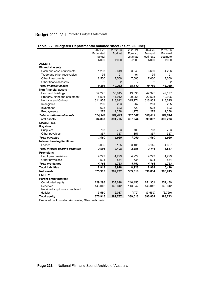| Estimated<br><b>Budget</b><br>Forward<br>Forward<br>Forward<br>estimate<br>estimate<br>actual<br>estimate<br>\$'000<br>\$'000<br>\$'000<br>\$'000<br>\$'000<br><b>ASSETS</b><br><b>Financial assets</b><br>Cash and cash equivalents<br>3,690<br>1,293<br>2,619<br>3,349<br>4,226<br>Trade and other receivables<br>91<br>91<br>91<br>91<br>91<br>8,500<br>7,500<br>7,000<br>7,000<br>Other investments<br>7,000<br>Other financial assets<br>2<br>2<br>2<br>2<br>2<br>10,212<br><b>Total financial assets</b><br>9,886<br>10,442<br>10,783<br>11,319<br><b>Non-financial assets</b><br>Land and buildings<br>50,815<br>49,095<br>47,375<br>52,225<br>47,177<br>Property, plant and equipment<br>8,594<br>14,912<br>20,968<br>22,523<br>19,926<br>Heritage and Cultural<br>313,612<br>315,271<br>316,939<br>311,958<br>318,615<br>253<br>267<br>281<br>Intangibles<br>269<br>295<br>Inventories<br>623<br>623<br>623<br>623<br>623<br>1,278<br>1,278<br>1,278<br>1,278<br>1,278<br>Prepayments<br><b>Total non-financial assets</b><br>374,947<br>381,493<br>387,502<br>389,019<br>387,914<br><b>Total assets</b><br>391,705<br>397,944<br>384,833<br>399,802<br>399,233<br><b>LIABILITIES</b><br><b>Payables</b><br>703<br>703<br>703<br>Suppliers<br>703<br>703<br>357<br>357<br>357<br>357<br>357<br>Other payables<br><b>Total payables</b><br>1,060<br>1,060<br>1,060<br>1,060<br>1,060<br><b>Interest bearing liabilities</b><br>3,095<br>3,105<br>3,105<br>3,145<br>4,667<br>Leases<br>3,105<br>3,105<br>3,145<br><b>Total interest bearing liabilities</b><br>3,095<br>4,667<br><b>Provisions</b><br>4,229<br>Employee provisions<br>4,229<br>4,229<br>4,229<br>4,229<br>534<br>534<br>Other provisions<br>534<br>534<br>534<br>4,763<br>4,763<br>4,763<br>4,763<br><b>Total provisions</b><br>4,763<br><b>Total liabilities</b><br>8,918<br>8,968<br>8,928<br>8,928<br>10,490<br>375,915<br>382,777<br>389,016<br>390,834<br>388,743<br><b>Net assets</b><br><b>EQUITY</b><br><b>Parent entity interest</b><br>Contributed equity<br>229,293<br>237,698<br>246,453<br>251,351<br>252,430<br><b>Reserves</b><br>143,042<br>143,042<br>143,042<br>143,042<br>143,042<br>Retained surplus (accumulated<br>deficit)<br>3,580<br>2,037<br>(479)<br>(3, 559)<br>(6, 729) | rable J.Z. Duuyeteu Departmental balance Sheet (as at JV June) |         |         |         |         |         |
|-----------------------------------------------------------------------------------------------------------------------------------------------------------------------------------------------------------------------------------------------------------------------------------------------------------------------------------------------------------------------------------------------------------------------------------------------------------------------------------------------------------------------------------------------------------------------------------------------------------------------------------------------------------------------------------------------------------------------------------------------------------------------------------------------------------------------------------------------------------------------------------------------------------------------------------------------------------------------------------------------------------------------------------------------------------------------------------------------------------------------------------------------------------------------------------------------------------------------------------------------------------------------------------------------------------------------------------------------------------------------------------------------------------------------------------------------------------------------------------------------------------------------------------------------------------------------------------------------------------------------------------------------------------------------------------------------------------------------------------------------------------------------------------------------------------------------------------------------------------------------------------------------------------------------------------------------------------------------------------------------------------------------------------------------------------------------------------------------------------------------------------------------------------------------------------------------------------------------------------------------------------------------------|----------------------------------------------------------------|---------|---------|---------|---------|---------|
|                                                                                                                                                                                                                                                                                                                                                                                                                                                                                                                                                                                                                                                                                                                                                                                                                                                                                                                                                                                                                                                                                                                                                                                                                                                                                                                                                                                                                                                                                                                                                                                                                                                                                                                                                                                                                                                                                                                                                                                                                                                                                                                                                                                                                                                                             |                                                                | 2021-22 | 2022-23 | 2023-24 | 2024-25 | 2025-26 |
|                                                                                                                                                                                                                                                                                                                                                                                                                                                                                                                                                                                                                                                                                                                                                                                                                                                                                                                                                                                                                                                                                                                                                                                                                                                                                                                                                                                                                                                                                                                                                                                                                                                                                                                                                                                                                                                                                                                                                                                                                                                                                                                                                                                                                                                                             |                                                                |         |         |         |         |         |
|                                                                                                                                                                                                                                                                                                                                                                                                                                                                                                                                                                                                                                                                                                                                                                                                                                                                                                                                                                                                                                                                                                                                                                                                                                                                                                                                                                                                                                                                                                                                                                                                                                                                                                                                                                                                                                                                                                                                                                                                                                                                                                                                                                                                                                                                             |                                                                |         |         |         |         |         |
|                                                                                                                                                                                                                                                                                                                                                                                                                                                                                                                                                                                                                                                                                                                                                                                                                                                                                                                                                                                                                                                                                                                                                                                                                                                                                                                                                                                                                                                                                                                                                                                                                                                                                                                                                                                                                                                                                                                                                                                                                                                                                                                                                                                                                                                                             |                                                                |         |         |         |         |         |
|                                                                                                                                                                                                                                                                                                                                                                                                                                                                                                                                                                                                                                                                                                                                                                                                                                                                                                                                                                                                                                                                                                                                                                                                                                                                                                                                                                                                                                                                                                                                                                                                                                                                                                                                                                                                                                                                                                                                                                                                                                                                                                                                                                                                                                                                             |                                                                |         |         |         |         |         |
|                                                                                                                                                                                                                                                                                                                                                                                                                                                                                                                                                                                                                                                                                                                                                                                                                                                                                                                                                                                                                                                                                                                                                                                                                                                                                                                                                                                                                                                                                                                                                                                                                                                                                                                                                                                                                                                                                                                                                                                                                                                                                                                                                                                                                                                                             |                                                                |         |         |         |         |         |
|                                                                                                                                                                                                                                                                                                                                                                                                                                                                                                                                                                                                                                                                                                                                                                                                                                                                                                                                                                                                                                                                                                                                                                                                                                                                                                                                                                                                                                                                                                                                                                                                                                                                                                                                                                                                                                                                                                                                                                                                                                                                                                                                                                                                                                                                             |                                                                |         |         |         |         |         |
|                                                                                                                                                                                                                                                                                                                                                                                                                                                                                                                                                                                                                                                                                                                                                                                                                                                                                                                                                                                                                                                                                                                                                                                                                                                                                                                                                                                                                                                                                                                                                                                                                                                                                                                                                                                                                                                                                                                                                                                                                                                                                                                                                                                                                                                                             |                                                                |         |         |         |         |         |
|                                                                                                                                                                                                                                                                                                                                                                                                                                                                                                                                                                                                                                                                                                                                                                                                                                                                                                                                                                                                                                                                                                                                                                                                                                                                                                                                                                                                                                                                                                                                                                                                                                                                                                                                                                                                                                                                                                                                                                                                                                                                                                                                                                                                                                                                             |                                                                |         |         |         |         |         |
|                                                                                                                                                                                                                                                                                                                                                                                                                                                                                                                                                                                                                                                                                                                                                                                                                                                                                                                                                                                                                                                                                                                                                                                                                                                                                                                                                                                                                                                                                                                                                                                                                                                                                                                                                                                                                                                                                                                                                                                                                                                                                                                                                                                                                                                                             |                                                                |         |         |         |         |         |
|                                                                                                                                                                                                                                                                                                                                                                                                                                                                                                                                                                                                                                                                                                                                                                                                                                                                                                                                                                                                                                                                                                                                                                                                                                                                                                                                                                                                                                                                                                                                                                                                                                                                                                                                                                                                                                                                                                                                                                                                                                                                                                                                                                                                                                                                             |                                                                |         |         |         |         |         |
|                                                                                                                                                                                                                                                                                                                                                                                                                                                                                                                                                                                                                                                                                                                                                                                                                                                                                                                                                                                                                                                                                                                                                                                                                                                                                                                                                                                                                                                                                                                                                                                                                                                                                                                                                                                                                                                                                                                                                                                                                                                                                                                                                                                                                                                                             |                                                                |         |         |         |         |         |
|                                                                                                                                                                                                                                                                                                                                                                                                                                                                                                                                                                                                                                                                                                                                                                                                                                                                                                                                                                                                                                                                                                                                                                                                                                                                                                                                                                                                                                                                                                                                                                                                                                                                                                                                                                                                                                                                                                                                                                                                                                                                                                                                                                                                                                                                             |                                                                |         |         |         |         |         |
|                                                                                                                                                                                                                                                                                                                                                                                                                                                                                                                                                                                                                                                                                                                                                                                                                                                                                                                                                                                                                                                                                                                                                                                                                                                                                                                                                                                                                                                                                                                                                                                                                                                                                                                                                                                                                                                                                                                                                                                                                                                                                                                                                                                                                                                                             |                                                                |         |         |         |         |         |
|                                                                                                                                                                                                                                                                                                                                                                                                                                                                                                                                                                                                                                                                                                                                                                                                                                                                                                                                                                                                                                                                                                                                                                                                                                                                                                                                                                                                                                                                                                                                                                                                                                                                                                                                                                                                                                                                                                                                                                                                                                                                                                                                                                                                                                                                             |                                                                |         |         |         |         |         |
|                                                                                                                                                                                                                                                                                                                                                                                                                                                                                                                                                                                                                                                                                                                                                                                                                                                                                                                                                                                                                                                                                                                                                                                                                                                                                                                                                                                                                                                                                                                                                                                                                                                                                                                                                                                                                                                                                                                                                                                                                                                                                                                                                                                                                                                                             |                                                                |         |         |         |         |         |
|                                                                                                                                                                                                                                                                                                                                                                                                                                                                                                                                                                                                                                                                                                                                                                                                                                                                                                                                                                                                                                                                                                                                                                                                                                                                                                                                                                                                                                                                                                                                                                                                                                                                                                                                                                                                                                                                                                                                                                                                                                                                                                                                                                                                                                                                             |                                                                |         |         |         |         |         |
|                                                                                                                                                                                                                                                                                                                                                                                                                                                                                                                                                                                                                                                                                                                                                                                                                                                                                                                                                                                                                                                                                                                                                                                                                                                                                                                                                                                                                                                                                                                                                                                                                                                                                                                                                                                                                                                                                                                                                                                                                                                                                                                                                                                                                                                                             |                                                                |         |         |         |         |         |
|                                                                                                                                                                                                                                                                                                                                                                                                                                                                                                                                                                                                                                                                                                                                                                                                                                                                                                                                                                                                                                                                                                                                                                                                                                                                                                                                                                                                                                                                                                                                                                                                                                                                                                                                                                                                                                                                                                                                                                                                                                                                                                                                                                                                                                                                             |                                                                |         |         |         |         |         |
|                                                                                                                                                                                                                                                                                                                                                                                                                                                                                                                                                                                                                                                                                                                                                                                                                                                                                                                                                                                                                                                                                                                                                                                                                                                                                                                                                                                                                                                                                                                                                                                                                                                                                                                                                                                                                                                                                                                                                                                                                                                                                                                                                                                                                                                                             |                                                                |         |         |         |         |         |
|                                                                                                                                                                                                                                                                                                                                                                                                                                                                                                                                                                                                                                                                                                                                                                                                                                                                                                                                                                                                                                                                                                                                                                                                                                                                                                                                                                                                                                                                                                                                                                                                                                                                                                                                                                                                                                                                                                                                                                                                                                                                                                                                                                                                                                                                             |                                                                |         |         |         |         |         |
|                                                                                                                                                                                                                                                                                                                                                                                                                                                                                                                                                                                                                                                                                                                                                                                                                                                                                                                                                                                                                                                                                                                                                                                                                                                                                                                                                                                                                                                                                                                                                                                                                                                                                                                                                                                                                                                                                                                                                                                                                                                                                                                                                                                                                                                                             |                                                                |         |         |         |         |         |
|                                                                                                                                                                                                                                                                                                                                                                                                                                                                                                                                                                                                                                                                                                                                                                                                                                                                                                                                                                                                                                                                                                                                                                                                                                                                                                                                                                                                                                                                                                                                                                                                                                                                                                                                                                                                                                                                                                                                                                                                                                                                                                                                                                                                                                                                             |                                                                |         |         |         |         |         |
|                                                                                                                                                                                                                                                                                                                                                                                                                                                                                                                                                                                                                                                                                                                                                                                                                                                                                                                                                                                                                                                                                                                                                                                                                                                                                                                                                                                                                                                                                                                                                                                                                                                                                                                                                                                                                                                                                                                                                                                                                                                                                                                                                                                                                                                                             |                                                                |         |         |         |         |         |
|                                                                                                                                                                                                                                                                                                                                                                                                                                                                                                                                                                                                                                                                                                                                                                                                                                                                                                                                                                                                                                                                                                                                                                                                                                                                                                                                                                                                                                                                                                                                                                                                                                                                                                                                                                                                                                                                                                                                                                                                                                                                                                                                                                                                                                                                             |                                                                |         |         |         |         |         |
|                                                                                                                                                                                                                                                                                                                                                                                                                                                                                                                                                                                                                                                                                                                                                                                                                                                                                                                                                                                                                                                                                                                                                                                                                                                                                                                                                                                                                                                                                                                                                                                                                                                                                                                                                                                                                                                                                                                                                                                                                                                                                                                                                                                                                                                                             |                                                                |         |         |         |         |         |
|                                                                                                                                                                                                                                                                                                                                                                                                                                                                                                                                                                                                                                                                                                                                                                                                                                                                                                                                                                                                                                                                                                                                                                                                                                                                                                                                                                                                                                                                                                                                                                                                                                                                                                                                                                                                                                                                                                                                                                                                                                                                                                                                                                                                                                                                             |                                                                |         |         |         |         |         |
|                                                                                                                                                                                                                                                                                                                                                                                                                                                                                                                                                                                                                                                                                                                                                                                                                                                                                                                                                                                                                                                                                                                                                                                                                                                                                                                                                                                                                                                                                                                                                                                                                                                                                                                                                                                                                                                                                                                                                                                                                                                                                                                                                                                                                                                                             |                                                                |         |         |         |         |         |
|                                                                                                                                                                                                                                                                                                                                                                                                                                                                                                                                                                                                                                                                                                                                                                                                                                                                                                                                                                                                                                                                                                                                                                                                                                                                                                                                                                                                                                                                                                                                                                                                                                                                                                                                                                                                                                                                                                                                                                                                                                                                                                                                                                                                                                                                             |                                                                |         |         |         |         |         |
|                                                                                                                                                                                                                                                                                                                                                                                                                                                                                                                                                                                                                                                                                                                                                                                                                                                                                                                                                                                                                                                                                                                                                                                                                                                                                                                                                                                                                                                                                                                                                                                                                                                                                                                                                                                                                                                                                                                                                                                                                                                                                                                                                                                                                                                                             |                                                                |         |         |         |         |         |
|                                                                                                                                                                                                                                                                                                                                                                                                                                                                                                                                                                                                                                                                                                                                                                                                                                                                                                                                                                                                                                                                                                                                                                                                                                                                                                                                                                                                                                                                                                                                                                                                                                                                                                                                                                                                                                                                                                                                                                                                                                                                                                                                                                                                                                                                             |                                                                |         |         |         |         |         |
|                                                                                                                                                                                                                                                                                                                                                                                                                                                                                                                                                                                                                                                                                                                                                                                                                                                                                                                                                                                                                                                                                                                                                                                                                                                                                                                                                                                                                                                                                                                                                                                                                                                                                                                                                                                                                                                                                                                                                                                                                                                                                                                                                                                                                                                                             |                                                                |         |         |         |         |         |
|                                                                                                                                                                                                                                                                                                                                                                                                                                                                                                                                                                                                                                                                                                                                                                                                                                                                                                                                                                                                                                                                                                                                                                                                                                                                                                                                                                                                                                                                                                                                                                                                                                                                                                                                                                                                                                                                                                                                                                                                                                                                                                                                                                                                                                                                             |                                                                |         |         |         |         |         |
|                                                                                                                                                                                                                                                                                                                                                                                                                                                                                                                                                                                                                                                                                                                                                                                                                                                                                                                                                                                                                                                                                                                                                                                                                                                                                                                                                                                                                                                                                                                                                                                                                                                                                                                                                                                                                                                                                                                                                                                                                                                                                                                                                                                                                                                                             |                                                                |         |         |         |         |         |
|                                                                                                                                                                                                                                                                                                                                                                                                                                                                                                                                                                                                                                                                                                                                                                                                                                                                                                                                                                                                                                                                                                                                                                                                                                                                                                                                                                                                                                                                                                                                                                                                                                                                                                                                                                                                                                                                                                                                                                                                                                                                                                                                                                                                                                                                             |                                                                |         |         |         |         |         |
|                                                                                                                                                                                                                                                                                                                                                                                                                                                                                                                                                                                                                                                                                                                                                                                                                                                                                                                                                                                                                                                                                                                                                                                                                                                                                                                                                                                                                                                                                                                                                                                                                                                                                                                                                                                                                                                                                                                                                                                                                                                                                                                                                                                                                                                                             |                                                                |         |         |         |         |         |
|                                                                                                                                                                                                                                                                                                                                                                                                                                                                                                                                                                                                                                                                                                                                                                                                                                                                                                                                                                                                                                                                                                                                                                                                                                                                                                                                                                                                                                                                                                                                                                                                                                                                                                                                                                                                                                                                                                                                                                                                                                                                                                                                                                                                                                                                             |                                                                |         |         |         |         |         |
|                                                                                                                                                                                                                                                                                                                                                                                                                                                                                                                                                                                                                                                                                                                                                                                                                                                                                                                                                                                                                                                                                                                                                                                                                                                                                                                                                                                                                                                                                                                                                                                                                                                                                                                                                                                                                                                                                                                                                                                                                                                                                                                                                                                                                                                                             |                                                                |         |         |         |         |         |
|                                                                                                                                                                                                                                                                                                                                                                                                                                                                                                                                                                                                                                                                                                                                                                                                                                                                                                                                                                                                                                                                                                                                                                                                                                                                                                                                                                                                                                                                                                                                                                                                                                                                                                                                                                                                                                                                                                                                                                                                                                                                                                                                                                                                                                                                             |                                                                |         |         |         |         |         |
|                                                                                                                                                                                                                                                                                                                                                                                                                                                                                                                                                                                                                                                                                                                                                                                                                                                                                                                                                                                                                                                                                                                                                                                                                                                                                                                                                                                                                                                                                                                                                                                                                                                                                                                                                                                                                                                                                                                                                                                                                                                                                                                                                                                                                                                                             |                                                                |         |         |         |         |         |
|                                                                                                                                                                                                                                                                                                                                                                                                                                                                                                                                                                                                                                                                                                                                                                                                                                                                                                                                                                                                                                                                                                                                                                                                                                                                                                                                                                                                                                                                                                                                                                                                                                                                                                                                                                                                                                                                                                                                                                                                                                                                                                                                                                                                                                                                             |                                                                |         |         |         |         |         |
| 375.915<br>382,777<br>389,016<br>390,834<br><b>Total equity</b><br>388,743<br>Proporod on Augtralian Acoounting Standards booje                                                                                                                                                                                                                                                                                                                                                                                                                                                                                                                                                                                                                                                                                                                                                                                                                                                                                                                                                                                                                                                                                                                                                                                                                                                                                                                                                                                                                                                                                                                                                                                                                                                                                                                                                                                                                                                                                                                                                                                                                                                                                                                                             |                                                                |         |         |         |         |         |

## **Table 3.2: Budgeted Departmental balance sheet (as at 30 June)**

Prepared on Australian Accounting Standards basis.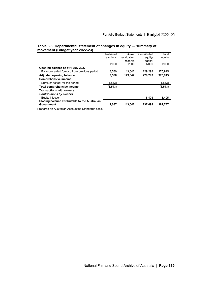| Government                                     | 2.037    | 143.042     | 237.698     | 382.777 |
|------------------------------------------------|----------|-------------|-------------|---------|
| Closing balance attributable to the Australian |          |             |             |         |
| Equity injection                               |          |             | 8,405       | 8,405   |
| <b>Contributions by owners</b>                 |          |             |             |         |
| <b>Transactions with owners</b>                |          |             |             |         |
| Total comprehensive income                     | (1, 543) |             | ۰           | (1,543) |
| Surplus/(deficit) for the period               | (1.543)  |             |             | (1,543) |
| <b>Comprehensive income</b>                    |          |             |             |         |
| Adjusted opening balance                       | 3.580    | 143.042     | 229.293     | 375.915 |
| Balance carried forward from previous period   | 3.580    | 143.042     | 229.293     | 375.915 |
| Opening balance as at 1 July 2022              |          |             |             |         |
|                                                | \$'000   | \$'000      | \$'000      | \$'000  |
|                                                |          | reserve     | capital     |         |
|                                                | earnings | revaluation | equity/     | equity  |
|                                                | Retained | Asset       | Contributed | Total   |

#### **Table 3.3: Departmental statement of changes in equity — summary of movement (Budget year 2022-23)**

Prepared on Australian Accounting Standards basis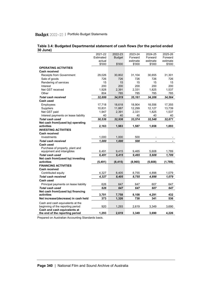|                                       | 2021-22   | 2022-23       | 2023-24  | 2024-25  | 2025-26  |
|---------------------------------------|-----------|---------------|----------|----------|----------|
|                                       | Estimated | <b>Budget</b> | Forward  | Forward  | Forward  |
|                                       | actual    |               | estimate | estimate | estimate |
|                                       | \$'000    | \$'000        | \$'000   | \$'000   | \$'000   |
| <b>OPERATING ACTIVITIES</b>           |           |               |          |          |          |
| <b>Cash received</b>                  |           |               |          |          |          |
| <b>Receipts from Government</b>       | 29,026    | 30,802        | 31,104   | 30,655   | 31,301   |
| Sale of goods                         | 726       | 726           | 726      | 726      | 726      |
| Rendering of services                 | 15        | 15            | 15       | 15       | 15       |
| Interest                              | 200       | 200           | 200      | 200      | 200      |
| Net GST received                      | 1,928     | 2,391         | 2,331    | 1,825    | 1,537    |
| Other                                 | 804       | 785           | 785      | 785      | 785      |
| Total cash received                   | 32,699    | 34,919        | 35,161   | 34,206   | 34,564   |
| Cash used                             |           |               |          |          |          |
| Employees                             | 17,718    | 18,618        | 18,904   | 18,556   | 17,355   |
| Suppliers                             | 10,831    | 11,887        | 12,299   | 12,127   | 13,739   |
| Net GST paid                          | 1,947     | 2,391         | 2,331    | 1,825    | 1,537    |
| Interest payments on lease liability  | 40        | 40            | 40       | 40       | 40       |
| <b>Total cash used</b>                | 30,536    | 32.936        | 33,574   | 32.548   | 32,671   |
| Net cash from/(used by) operating     |           |               |          |          |          |
| activities                            | 2,163     | 1,983         | 1,587    | 1,658    | 1,893    |
| <b>INVESTING ACTIVITIES</b>           |           |               |          |          |          |
| Cash received                         |           |               |          |          |          |
| Investments                           | 1,000     | 1,000         | 500      |          |          |
| Total cash received                   | 1,000     | 1,000         | 500      |          |          |
| Cash used                             |           |               |          |          |          |
| Purchase of property, plant and       |           |               |          |          |          |
| equipment and intangibles             | 6,491     | 9,415         | 9,465    | 5,608    | 1,789    |
| Total cash used                       | 6,491     | 9,415         | 9,465    | 5,608    | 1,789    |
| Net cash from/(used by) investing     |           |               |          |          |          |
| activities                            | (5, 491)  | (8, 415)      | (8, 965) | (5,608)  | (1,789)  |
| <b>FINANCING ACTIVITIES</b>           |           |               |          |          |          |
| <b>Cash received</b>                  |           |               |          |          |          |
| Contributed equity                    | 4,327     | 8,405         | 8,755    | 4,898    | 1,079    |
| Total cash received                   | 4,327     | 8,405         | 8,755    | 4,898    | 1,079    |
| Cash used                             |           |               |          |          |          |
| Principal payments on lease liability | 626       | 647           | 647      | 607      | 647      |
| Total cash used                       | 626       | 647           | 647      | 607      | 647      |
| Net cash from/(used by) financing     |           |               |          |          |          |
| activities                            | 3,701     | 7,758         | 8,108    | 4.291    | 432      |
| Net increase/(decrease) in cash held  | 373       | 1,326         | 730      | 341      | 536      |
| Cash and cash equivalents at the      |           |               |          |          |          |
| beginning of the reporting period     | 920       | 1,293         | 2,619    | 3,349    | 3,690    |
| Cash and cash equivalents at          |           |               |          |          |          |
| the end of the reporting period       | 1,293     | 2,619         | 3,349    | 3,690    | 4,226    |

## **Table 3.4: Budgeted Departmental statement of cash flows (for the period ended 30 June)**

Prepared on Australian Accounting Standards basis.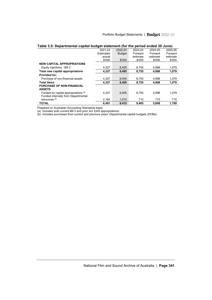|                                                 | 2021-22   | 2022-23       | 2023-24  | 2024-25  | 2025-26  |
|-------------------------------------------------|-----------|---------------|----------|----------|----------|
|                                                 | Estimated | <b>Budget</b> | Forward  | Forward  | Forward  |
|                                                 | actual    |               | estimate | estimate | estimate |
|                                                 | \$'000    | \$'000        | \$'000   | \$'000   | \$'000   |
| <b>NEW CAPITAL APPROPRIATIONS</b>               |           |               |          |          |          |
| Equity injections - Bill 2                      | 4.327     | 8.405         | 8.755    | 4,898    | 1,079    |
| Total new capital appropriations                | 4.327     | 8,405         | 8.755    | 4.898    | 1,079    |
| <b>Provided for:</b>                            |           |               |          |          |          |
| Purchase of non-financial assets                | 4.327     | 8,405         | 8.755    | 4.898    | 1,079    |
| <b>Total items</b>                              | 4,327     | 8,405         | 8,755    | 4,898    | 1,079    |
| <b>PURCHASE OF NON-FINANCIAL</b>                |           |               |          |          |          |
| <b>ASSETS</b>                                   |           |               |          |          |          |
| Funded by capital appropriations <sup>(a)</sup> | 4.327     | 8.405         | 8.755    | 4.898    | 1,079    |
| Funded internally from Departmental             |           |               |          |          |          |
| resources <sup>(b)</sup>                        | 2,164     | 1,010         | 710      | 710      | 710      |
| TOTAL                                           | 6.491     | 9.415         | 9.465    | 5.608    | 1.789    |

Prepared on Australian Accounting Standards basis.

(a) Includes both current Bill 2 and prior Act 2/4/6 appropriations.

(b) Includes purchases from current and previous years' Departmental capital budgets (DCBs).